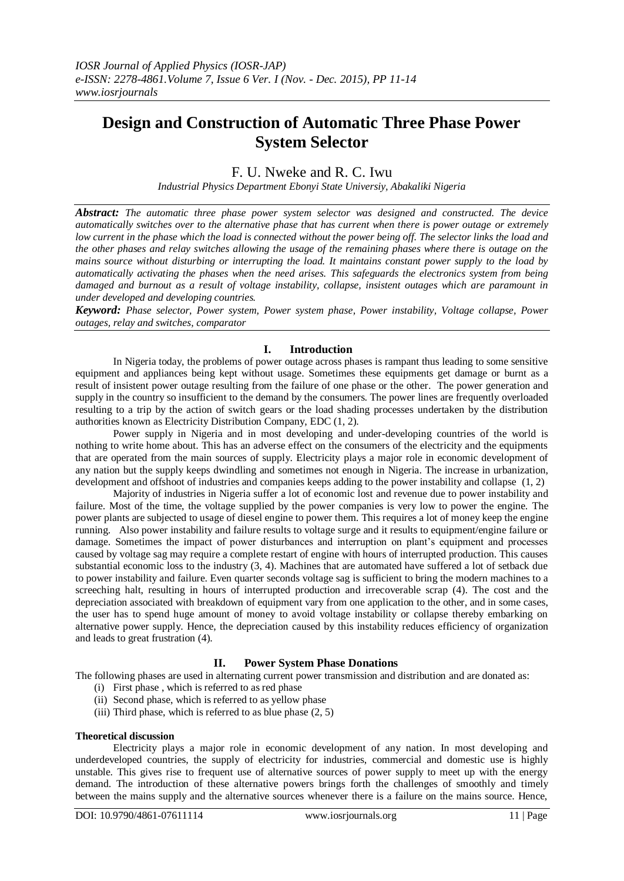# **Design and Construction of Automatic Three Phase Power System Selector**

F. U. Nweke and R. C. Iwu

*Industrial Physics Department Ebonyi State Universiy, Abakaliki Nigeria*

*Abstract: The automatic three phase power system selector was designed and constructed. The device automatically switches over to the alternative phase that has current when there is power outage or extremely low current in the phase which the load is connected without the power being off. The selector links the load and the other phases and relay switches allowing the usage of the remaining phases where there is outage on the mains source without disturbing or interrupting the load. It maintains constant power supply to the load by automatically activating the phases when the need arises. This safeguards the electronics system from being damaged and burnout as a result of voltage instability, collapse, insistent outages which are paramount in under developed and developing countries.*

*Keyword: Phase selector, Power system, Power system phase, Power instability, Voltage collapse, Power outages, relay and switches, comparator*

### **I. Introduction**

In Nigeria today, the problems of power outage across phases is rampant thus leading to some sensitive equipment and appliances being kept without usage. Sometimes these equipments get damage or burnt as a result of insistent power outage resulting from the failure of one phase or the other. The power generation and supply in the country so insufficient to the demand by the consumers. The power lines are frequently overloaded resulting to a trip by the action of switch gears or the load shading processes undertaken by the distribution authorities known as Electricity Distribution Company, EDC (1, 2).

Power supply in Nigeria and in most developing and under-developing countries of the world is nothing to write home about. This has an adverse effect on the consumers of the electricity and the equipments that are operated from the main sources of supply. Electricity plays a major role in economic development of any nation but the supply keeps dwindling and sometimes not enough in Nigeria. The increase in urbanization, development and offshoot of industries and companies keeps adding to the power instability and collapse (1, 2)

Majority of industries in Nigeria suffer a lot of economic lost and revenue due to power instability and failure. Most of the time, the voltage supplied by the power companies is very low to power the engine. The power plants are subjected to usage of diesel engine to power them. This requires a lot of money keep the engine running. Also power instability and failure results to voltage surge and it results to equipment/engine failure or damage. Sometimes the impact of power disturbances and interruption on plant's equipment and processes caused by voltage sag may require a complete restart of engine with hours of interrupted production. This causes substantial economic loss to the industry (3, 4). Machines that are automated have suffered a lot of setback due to power instability and failure. Even quarter seconds voltage sag is sufficient to bring the modern machines to a screeching halt, resulting in hours of interrupted production and irrecoverable scrap (4). The cost and the depreciation associated with breakdown of equipment vary from one application to the other, and in some cases, the user has to spend huge amount of money to avoid voltage instability or collapse thereby embarking on alternative power supply. Hence, the depreciation caused by this instability reduces efficiency of organization and leads to great frustration (4).

# **II. Power System Phase Donations**

The following phases are used in alternating current power transmission and distribution and are donated as:

- (i) First phase , which is referred to as red phase
- (ii) Second phase, which is referred to as yellow phase
- (iii) Third phase, which is referred to as blue phase (2, 5)

#### **Theoretical discussion**

Electricity plays a major role in economic development of any nation. In most developing and underdeveloped countries, the supply of electricity for industries, commercial and domestic use is highly unstable. This gives rise to frequent use of alternative sources of power supply to meet up with the energy demand. The introduction of these alternative powers brings forth the challenges of smoothly and timely between the mains supply and the alternative sources whenever there is a failure on the mains source. Hence,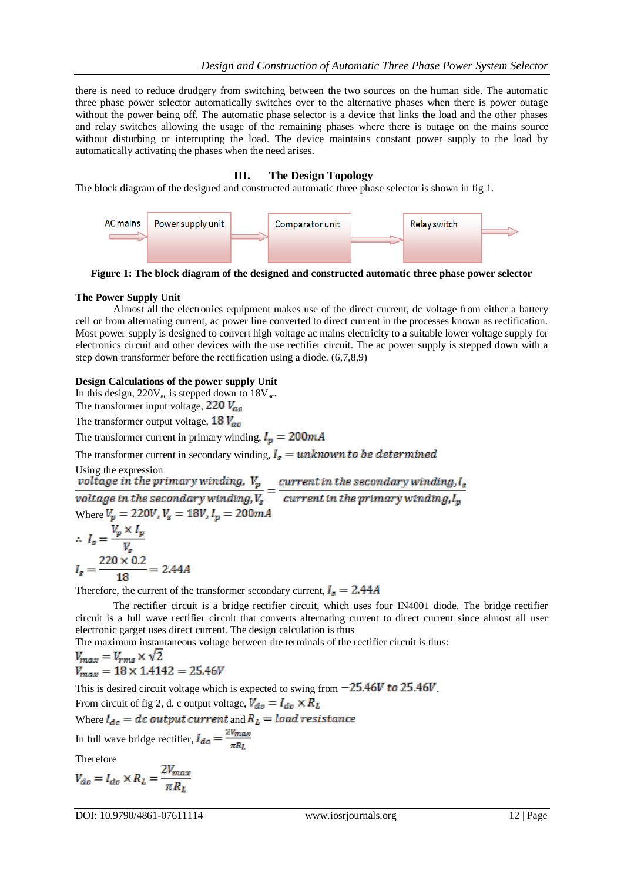there is need to reduce drudgery from switching between the two sources on the human side. The automatic three phase power selector automatically switches over to the alternative phases when there is power outage without the power being off. The automatic phase selector is a device that links the load and the other phases and relay switches allowing the usage of the remaining phases where there is outage on the mains source without disturbing or interrupting the load. The device maintains constant power supply to the load by automatically activating the phases when the need arises.

# **III. The Design Topology**

The block diagram of the designed and constructed automatic three phase selector is shown in fig 1.



**Figure 1: The block diagram of the designed and constructed automatic three phase power selector**

# **The Power Supply Unit**

Almost all the electronics equipment makes use of the direct current, dc voltage from either a battery cell or from alternating current, ac power line converted to direct current in the processes known as rectification. Most power supply is designed to convert high voltage ac mains electricity to a suitable lower voltage supply for electronics circuit and other devices with the use rectifier circuit. The ac power supply is stepped down with a step down transformer before the rectification using a diode. (6,7,8,9)

### **Design Calculations of the power supply Unit**

In this design,  $220V_{ac}$  is stepped down to  $18V_{ac}$ .

The transformer input voltage,  $220 V_{ac}$ 

The transformer output voltage,  $18V_{ac}$ 

The transformer current in primary winding,  $I_p = 200mA$ 

The transformer current in secondary winding,  $I_s = unknown to be determined$ 

Using the expression<br>voltage in the primary winding,  $V_p$ <br>voltage in the secondary winding,  $V_s$  =  $\frac{current \, in \, the \, secondary \, winding \, l_s}{current \, in \, the \, primary \, winding \, l_p}$ 

Where  $V_p = 220V$ ,  $V_s = 18V$ ,  $I_p = 200mA$ 

$$
\therefore I_s = \frac{V_p \times I_p}{V_s}
$$

$$
I_s = \frac{220 \times 0.2}{18} = 2.44A
$$

Therefore, the current of the transformer secondary current,  $I_s = 2.44A$ 

The rectifier circuit is a bridge rectifier circuit, which uses four IN4001 diode. The bridge rectifier circuit is a full wave rectifier circuit that converts alternating current to direct current since almost all user electronic garget uses direct current. The design calculation is thus

The maximum instantaneous voltage between the terminals of the rectifier circuit is thus:

$$
V_{max} = V_{rms} \times \sqrt{2}
$$
  

$$
V_{max} = 18 \times 1.4142 = 25.46V
$$

This is desired circuit voltage which is expected to swing from  $-25.46V$  to  $25.46V$ .

From circuit of fig 2, d. c output voltage,  $V_{dc} = I_{dc} \times R_L$ 

Where  $I_{dc} = dc$  output current and  $R_L = load$  resistance

In full wave bridge rectifier,  $I_{dc} = \frac{2V_{max}}{R_{av}}$ 

Therefore

$$
V_{dc} = I_{dc} \times R_L = \frac{2V_{max}}{\pi R_L}
$$

DOI: 10.9790/4861-07611114 www.iosrjournals.org 12 | Page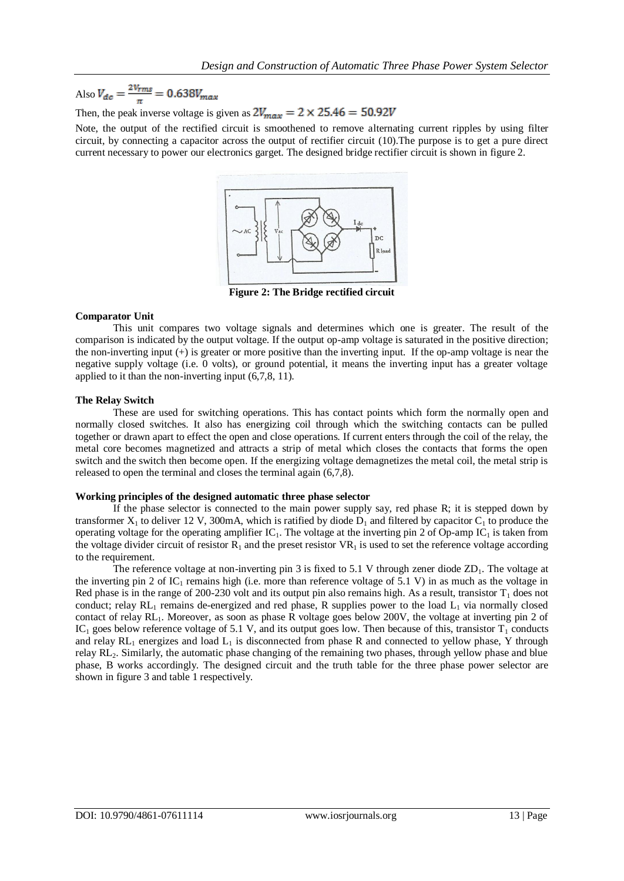Also  $V_{dc} = \frac{2V_{rms}}{\pi} = 0.638V_{max}$ 

Then, the peak inverse voltage is given as  $2V_{max} = 2 \times 25.46 = 50.92V$ 

Note, the output of the rectified circuit is smoothened to remove alternating current ripples by using filter circuit, by connecting a capacitor across the output of rectifier circuit (10).The purpose is to get a pure direct current necessary to power our electronics garget. The designed bridge rectifier circuit is shown in figure 2.



**Figure 2: The Bridge rectified circuit**

### **Comparator Unit**

This unit compares two voltage signals and determines which one is greater. The result of the comparison is indicated by the output voltage. If the output op-amp voltage is saturated in the positive direction; the non-inverting input (+) is greater or more positive than the inverting input. If the op-amp voltage is near the negative supply voltage (i.e. 0 volts), or ground potential, it means the inverting input has a greater voltage applied to it than the non-inverting input (6,7,8, 11).

### **The Relay Switch**

These are used for switching operations. This has contact points which form the normally open and normally closed switches. It also has energizing coil through which the switching contacts can be pulled together or drawn apart to effect the open and close operations. If current enters through the coil of the relay, the metal core becomes magnetized and attracts a strip of metal which closes the contacts that forms the open switch and the switch then become open. If the energizing voltage demagnetizes the metal coil, the metal strip is released to open the terminal and closes the terminal again (6,7,8).

#### **Working principles of the designed automatic three phase selector**

If the phase selector is connected to the main power supply say, red phase R; it is stepped down by transformer  $X_1$  to deliver 12 V, 300mA, which is ratified by diode  $D_1$  and filtered by capacitor  $C_1$  to produce the operating voltage for the operating amplifier  $IC_1$ . The voltage at the inverting pin 2 of Op-amp  $IC_1$  is taken from the voltage divider circuit of resistor  $\overline{R}_1$  and the preset resistor  $VR_1$  is used to set the reference voltage according to the requirement.

The reference voltage at non-inverting pin 3 is fixed to 5.1 V through zener diode  $ZD_1$ . The voltage at the inverting pin 2 of  $IC_1$  remains high (i.e. more than reference voltage of 5.1 V) in as much as the voltage in Red phase is in the range of 200-230 volt and its output pin also remains high. As a result, transistor  $T_1$  does not conduct; relay  $RL_1$  remains de-energized and red phase, R supplies power to the load  $L_1$  via normally closed contact of relay RL1. Moreover, as soon as phase R voltage goes below 200V, the voltage at inverting pin 2 of IC<sub>1</sub> goes below reference voltage of 5.1 V, and its output goes low. Then because of this, transistor  $T_1$  conducts and relay  $RL_1$  energizes and load  $L_1$  is disconnected from phase R and connected to yellow phase, Y through relay RL2. Similarly, the automatic phase changing of the remaining two phases, through yellow phase and blue phase, B works accordingly. The designed circuit and the truth table for the three phase power selector are shown in figure 3 and table 1 respectively.